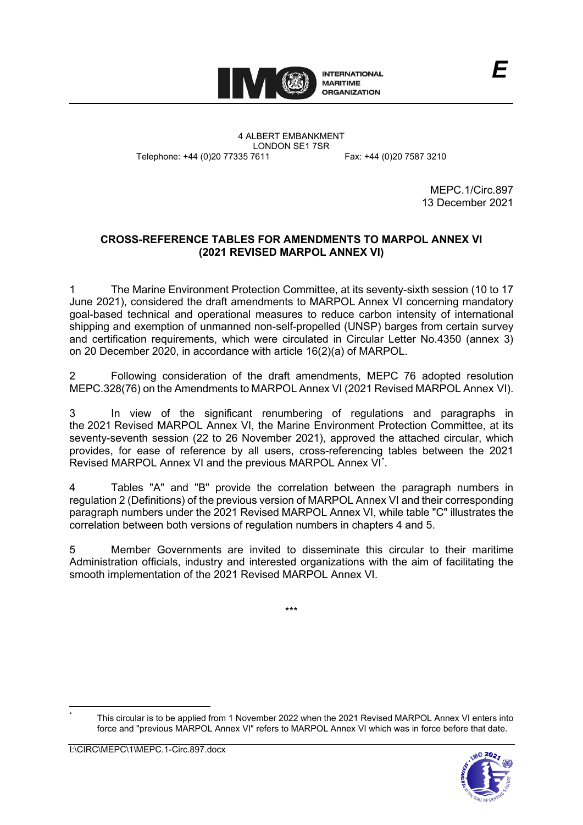

4 ALBERT EMBANKMENT LONDON SE1 7SR Telephone: +44 (0)20 77335 7611 Fax: +44 (0)20 7587 3210

MEPC.1/Circ.897 13 December 2021

*E*

# **CROSS-REFERENCE TABLES FOR AMENDMENTS TO MARPOL ANNEX VI (2021 REVISED MARPOL ANNEX VI)**

1 The Marine Environment Protection Committee, at its seventy-sixth session (10 to 17 June 2021), considered the draft amendments to MARPOL Annex VI concerning mandatory goal-based technical and operational measures to reduce carbon intensity of international shipping and exemption of unmanned non-self-propelled (UNSP) barges from certain survey and certification requirements, which were circulated in Circular Letter No.4350 (annex 3) on 20 December 2020, in accordance with article 16(2)(a) of MARPOL.

2 Following consideration of the draft amendments, MEPC 76 adopted resolution MEPC.328(76) on the Amendments to MARPOL Annex VI (2021 Revised MARPOL Annex VI).

3 In view of the significant renumbering of regulations and paragraphs in the 2021 Revised MARPOL Annex VI, the Marine Environment Protection Committee, at its seventy-seventh session (22 to 26 November 2021), approved the attached circular, which provides, for ease of reference by all users, cross-referencing tables between the 2021 Revised MARPOL Annex VI and the previous MARPOL Annex VI[\\*](#page-0-0) .

4 Tables "A" and "B" provide the correlation between the paragraph numbers in regulation 2 (Definitions) of the previous version of MARPOL Annex VI and their corresponding paragraph numbers under the 2021 Revised MARPOL Annex VI, while table "C" illustrates the correlation between both versions of regulation numbers in chapters 4 and 5.

5 Member Governments are invited to disseminate this circular to their maritime Administration officials, industry and interested organizations with the aim of facilitating the smooth implementation of the 2021 Revised MARPOL Annex VI.

\*\*\*

<span id="page-0-0"></span><sup>\*</sup> This circular is to be applied from 1 November 2022 when the 2021 Revised MARPOL Annex VI enters into force and "previous MARPOL Annex VI" refers to MARPOL Annex VI which was in force before that date.

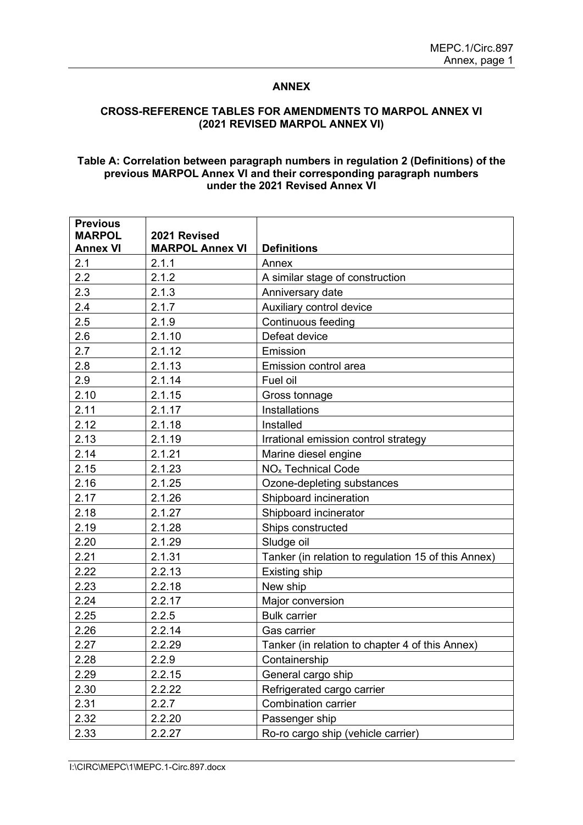### **ANNEX**

#### **CROSS-REFERENCE TABLES FOR AMENDMENTS TO MARPOL ANNEX VI (2021 REVISED MARPOL ANNEX VI)**

#### **Table A: Correlation between paragraph numbers in regulation 2 (Definitions) of the previous MARPOL Annex VI and their corresponding paragraph numbers under the 2021 Revised Annex VI**

| <b>Previous</b>                  |                                        |                                                     |
|----------------------------------|----------------------------------------|-----------------------------------------------------|
| <b>MARPOL</b><br><b>Annex VI</b> | 2021 Revised<br><b>MARPOL Annex VI</b> | <b>Definitions</b>                                  |
| 2.1                              | 2.1.1                                  | Annex                                               |
| 2.2                              | 2.1.2                                  | A similar stage of construction                     |
| 2.3                              | 2.1.3                                  | Anniversary date                                    |
| 2.4                              | 2.1.7                                  | Auxiliary control device                            |
| 2.5                              | 2.1.9                                  | <b>Continuous feeding</b>                           |
| 2.6                              | 2.1.10                                 | Defeat device                                       |
| 2.7                              | 2.1.12                                 | Emission                                            |
| 2.8                              | 2.1.13                                 | Emission control area                               |
| 2.9                              | 2.1.14                                 | Fuel oil                                            |
| 2.10                             | 2.1.15                                 |                                                     |
|                                  |                                        | Gross tonnage<br>Installations                      |
| 2.11<br>2.12                     | 2.1.17<br>2.1.18                       | Installed                                           |
|                                  | 2.1.19                                 |                                                     |
| 2.13                             |                                        | Irrational emission control strategy                |
| 2.14                             | 2.1.21                                 | Marine diesel engine                                |
| 2.15                             | 2.1.23                                 | NO <sub>x</sub> Technical Code                      |
| 2.16                             | 2.1.25                                 | Ozone-depleting substances                          |
| 2.17                             | 2.1.26                                 | Shipboard incineration                              |
| 2.18                             | 2.1.27                                 | Shipboard incinerator                               |
| 2.19                             | 2.1.28                                 | Ships constructed                                   |
| 2.20                             | 2.1.29                                 | Sludge oil                                          |
| 2.21                             | 2.1.31                                 | Tanker (in relation to regulation 15 of this Annex) |
| 2.22                             | 2.2.13                                 | Existing ship                                       |
| 2.23                             | 2.2.18                                 | New ship                                            |
| 2.24                             | 2.2.17                                 | Major conversion                                    |
| 2.25                             | 2.2.5                                  | <b>Bulk carrier</b>                                 |
| 2.26                             | 2.2.14                                 | Gas carrier                                         |
| 2.27                             | 2.2.29                                 | Tanker (in relation to chapter 4 of this Annex)     |
| 2.28                             | 2.2.9                                  | Containership                                       |
| 2.29                             | 2.2.15                                 | General cargo ship                                  |
| 2.30                             | 2.2.22                                 | Refrigerated cargo carrier                          |
| 2.31                             | 2.2.7                                  | <b>Combination carrier</b>                          |
| 2.32                             | 2.2.20                                 | Passenger ship                                      |
| 2.33                             | 2.2.27                                 | Ro-ro cargo ship (vehicle carrier)                  |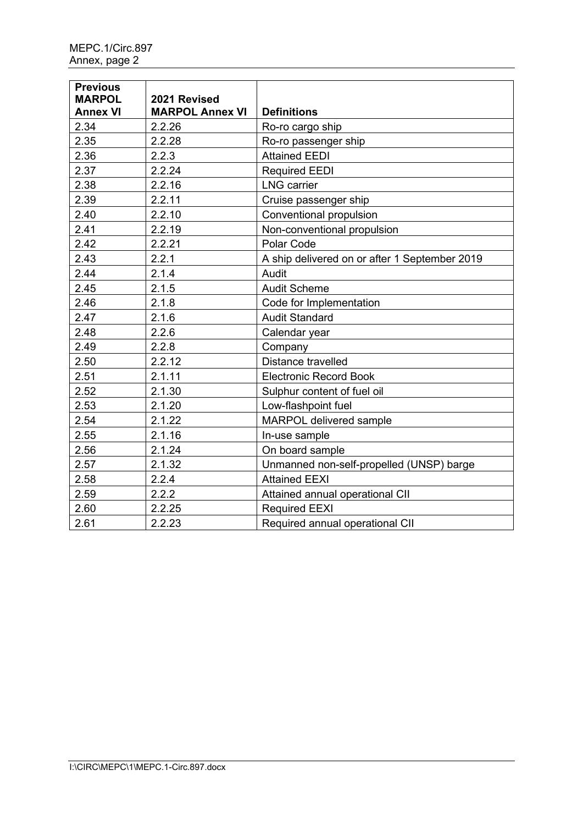| <b>Previous</b><br><b>MARPOL</b><br><b>Annex VI</b> | 2021 Revised<br><b>MARPOL Annex VI</b> | <b>Definitions</b>                            |
|-----------------------------------------------------|----------------------------------------|-----------------------------------------------|
| 2.34                                                | 2.2.26                                 | Ro-ro cargo ship                              |
| 2.35                                                | 2.2.28                                 | Ro-ro passenger ship                          |
| 2.36                                                | 2.2.3                                  | <b>Attained EEDI</b>                          |
| 2.37                                                | 2.2.24                                 | <b>Required EEDI</b>                          |
| 2.38                                                | 2.2.16                                 | <b>LNG</b> carrier                            |
| 2.39                                                | 2.2.11                                 | Cruise passenger ship                         |
| 2.40                                                | 2.2.10                                 | Conventional propulsion                       |
| 2.41                                                | 2.2.19                                 | Non-conventional propulsion                   |
| 2.42                                                | 2.2.21                                 | Polar Code                                    |
| 2.43                                                | 2.2.1                                  | A ship delivered on or after 1 September 2019 |
| 2.44                                                | 2.1.4                                  | Audit                                         |
| 2.45                                                | 2.1.5                                  | <b>Audit Scheme</b>                           |
| 2.46                                                | 2.1.8                                  | Code for Implementation                       |
| 2.47                                                | 2.1.6                                  | <b>Audit Standard</b>                         |
| 2.48                                                | 2.2.6                                  | Calendar year                                 |
| 2.49                                                | 2.2.8                                  | Company                                       |
| 2.50                                                | 2.2.12                                 | Distance travelled                            |
| 2.51                                                | 2.1.11                                 | <b>Electronic Record Book</b>                 |
| 2.52                                                | 2.1.30                                 | Sulphur content of fuel oil                   |
| 2.53                                                | 2.1.20                                 | Low-flashpoint fuel                           |
| 2.54                                                | 2.1.22                                 | <b>MARPOL delivered sample</b>                |
| 2.55                                                | 2.1.16                                 | In-use sample                                 |
| 2.56                                                | 2.1.24                                 | On board sample                               |
| 2.57                                                | 2.1.32                                 | Unmanned non-self-propelled (UNSP) barge      |
| 2.58                                                | 2.2.4                                  | <b>Attained EEXI</b>                          |
| 2.59                                                | 2.2.2                                  | Attained annual operational CII               |
| 2.60                                                | 2.2.25                                 | <b>Required EEXI</b>                          |
| 2.61                                                | 2.2.23                                 | Required annual operational CII               |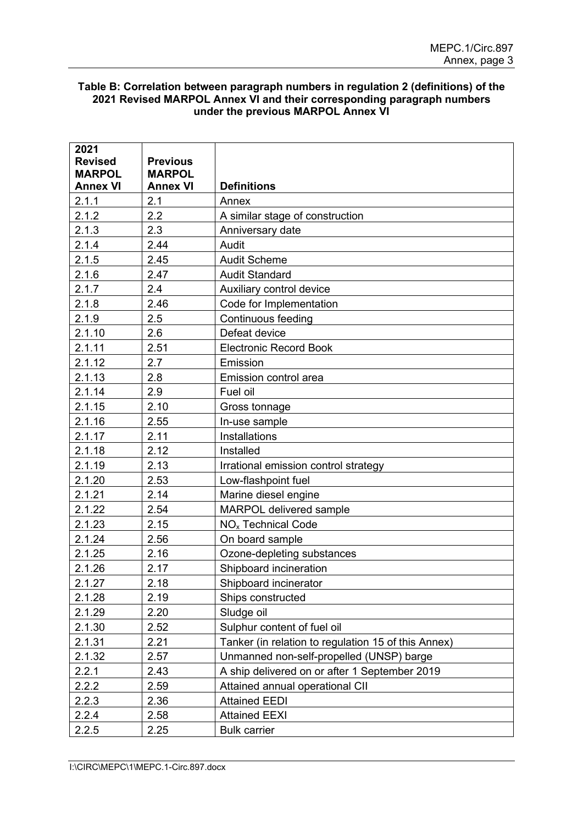## **Table B: Correlation between paragraph numbers in regulation 2 (definitions) of the 2021 Revised MARPOL Annex VI and their corresponding paragraph numbers under the previous MARPOL Annex VI**

| 2021                            |                                  |                                                     |  |
|---------------------------------|----------------------------------|-----------------------------------------------------|--|
| <b>Revised</b><br><b>MARPOL</b> | <b>Previous</b><br><b>MARPOL</b> |                                                     |  |
| <b>Annex VI</b>                 | <b>Annex VI</b>                  | <b>Definitions</b>                                  |  |
| 2.1.1                           | 2.1                              | Annex                                               |  |
| 2.1.2                           | 2.2                              | A similar stage of construction                     |  |
| 2.1.3                           | 2.3                              | Anniversary date                                    |  |
| 2.1.4                           | 2.44                             | Audit                                               |  |
| 2.1.5                           | 2.45                             | <b>Audit Scheme</b>                                 |  |
| 2.1.6                           | 2.47                             | <b>Audit Standard</b>                               |  |
| 2.1.7                           | 2.4                              | Auxiliary control device                            |  |
| 2.1.8                           | 2.46                             | Code for Implementation                             |  |
| 2.1.9                           | 2.5                              | Continuous feeding                                  |  |
| 2.1.10                          | 2.6                              | Defeat device                                       |  |
| 2.1.11                          | 2.51                             | <b>Electronic Record Book</b>                       |  |
| 2.1.12                          | 2.7                              | Emission                                            |  |
| 2.1.13                          | 2.8                              | Emission control area                               |  |
| 2.1.14                          | 2.9                              | Fuel oil                                            |  |
| 2.1.15                          | 2.10                             | Gross tonnage                                       |  |
| 2.1.16                          | 2.55                             | In-use sample                                       |  |
| 2.1.17                          | 2.11                             | Installations                                       |  |
| 2.1.18                          | 2.12                             | Installed                                           |  |
| 2.1.19                          | 2.13                             | Irrational emission control strategy                |  |
| 2.1.20                          | 2.53                             | Low-flashpoint fuel                                 |  |
| 2.1.21                          | 2.14                             | Marine diesel engine                                |  |
| 2.1.22                          | 2.54                             | <b>MARPOL delivered sample</b>                      |  |
| 2.1.23                          | 2.15                             | NO <sub>x</sub> Technical Code                      |  |
| 2.1.24                          | 2.56                             | On board sample                                     |  |
| 2.1.25                          | 2.16                             | Ozone-depleting substances                          |  |
| 2.1.26                          | 2.17                             | Shipboard incineration                              |  |
| 2.1.27                          | 2.18                             | Shipboard incinerator                               |  |
| 2.1.28                          | 2.19                             | Ships constructed                                   |  |
| 2.1.29                          | 2.20                             | Sludge oil                                          |  |
| 2.1.30                          | 2.52                             | Sulphur content of fuel oil                         |  |
| 2.1.31                          | 2.21                             | Tanker (in relation to regulation 15 of this Annex) |  |
| 2.1.32                          | 2.57                             | Unmanned non-self-propelled (UNSP) barge            |  |
| 2.2.1                           | 2.43                             | A ship delivered on or after 1 September 2019       |  |
| 2.2.2                           | 2.59                             | Attained annual operational CII                     |  |
| 2.2.3                           | 2.36                             | <b>Attained EEDI</b>                                |  |
| 2.2.4                           | 2.58                             | <b>Attained EEXI</b>                                |  |
| 2.2.5                           | 2.25                             | <b>Bulk carrier</b>                                 |  |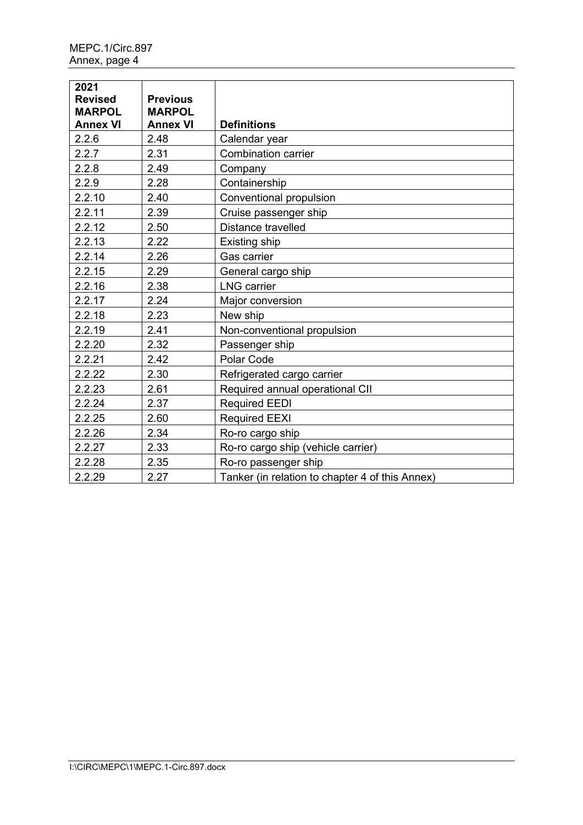| 2021<br><b>Revised</b><br><b>MARPOL</b><br><b>Annex VI</b> | <b>Previous</b><br><b>MARPOL</b><br><b>Annex VI</b> | <b>Definitions</b>                              |  |
|------------------------------------------------------------|-----------------------------------------------------|-------------------------------------------------|--|
| 2.2.6                                                      | 2.48                                                | Calendar year                                   |  |
| 2.2.7                                                      | 2.31                                                | <b>Combination carrier</b>                      |  |
| 2.2.8                                                      | 2.49                                                | Company                                         |  |
| 2.2.9                                                      | 2.28                                                | Containership                                   |  |
| 2.2.10                                                     | 2.40                                                | Conventional propulsion                         |  |
| 2.2.11                                                     | 2.39                                                | Cruise passenger ship                           |  |
| 2.2.12                                                     | 2.50                                                | Distance travelled                              |  |
| 2.2.13                                                     | 2.22                                                | Existing ship                                   |  |
| 2.2.14                                                     | 2.26                                                | Gas carrier                                     |  |
| 2.2.15                                                     | 2.29                                                | General cargo ship                              |  |
| 2.2.16                                                     | 2.38                                                | <b>LNG</b> carrier                              |  |
| 2.2.17                                                     | 2.24                                                | Major conversion                                |  |
| 2.2.18                                                     | 2.23                                                | New ship                                        |  |
| 2.2.19                                                     | 2.41                                                | Non-conventional propulsion                     |  |
| 2.2.20                                                     | 2.32                                                | Passenger ship                                  |  |
| 2.2.21                                                     | 2.42                                                | Polar Code                                      |  |
| 2.2.22                                                     | 2.30                                                | Refrigerated cargo carrier                      |  |
| 2.2.23                                                     | 2.61                                                | Required annual operational CII                 |  |
| 2.2.24                                                     | 2.37                                                | <b>Required EEDI</b>                            |  |
| 2.2.25                                                     | 2.60                                                | <b>Required EEXI</b>                            |  |
| 2.2.26                                                     | 2.34                                                | Ro-ro cargo ship                                |  |
| 2.2.27                                                     | 2.33                                                | Ro-ro cargo ship (vehicle carrier)              |  |
| 2.2.28                                                     | 2.35                                                | Ro-ro passenger ship                            |  |
| 2.2.29                                                     | 2.27                                                | Tanker (in relation to chapter 4 of this Annex) |  |